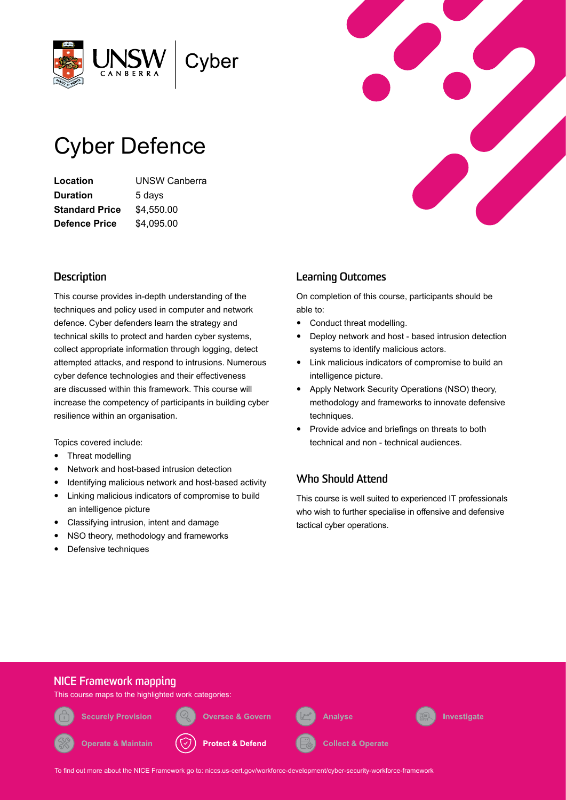

# Cyber Defence

**Location** UNSW Canberra **Duration** 5 days **Standard Price** \$4,550.00 **Defence Price** \$4,095.00

# **Description**

This course provides in-depth understanding of the techniques and policy used in computer and network defence. Cyber defenders learn the strategy and technical skills to protect and harden cyber systems, collect appropriate information through logging, detect attempted attacks, and respond to intrusions. Numerous cyber defence technologies and their effectiveness are discussed within this framework. This course will increase the competency of participants in building cyber resilience within an organisation.

Topics covered include:

- Threat modelling
- Network and host-based intrusion detection
- Identifying malicious network and host-based activity
- Linking malicious indicators of compromise to build an intelligence picture
- Classifying intrusion, intent and damage
- NSO theory, methodology and frameworks
- Defensive techniques

# **Learning Outcomes**

On completion of this course, participants should be able to:

- Conduct threat modelling.
- Deploy network and host based intrusion detection systems to identify malicious actors.
- Link malicious indicators of compromise to build an intelligence picture.
- Apply Network Security Operations (NSO) theory, methodology and frameworks to innovate defensive techniques.
- Provide advice and briefings on threats to both technical and non - technical audiences.

## **Who Should Attend**

This course is well suited to experienced IT professionals who wish to further specialise in offensive and defensive tactical cyber operations.



To find out more about the NICE Framework go to: [niccs.us-cert.gov/workforce-development/cyber-security-workforce-framework](http://niccs.us-cert.gov/workforce-development/cyber-security-workforce-framework)